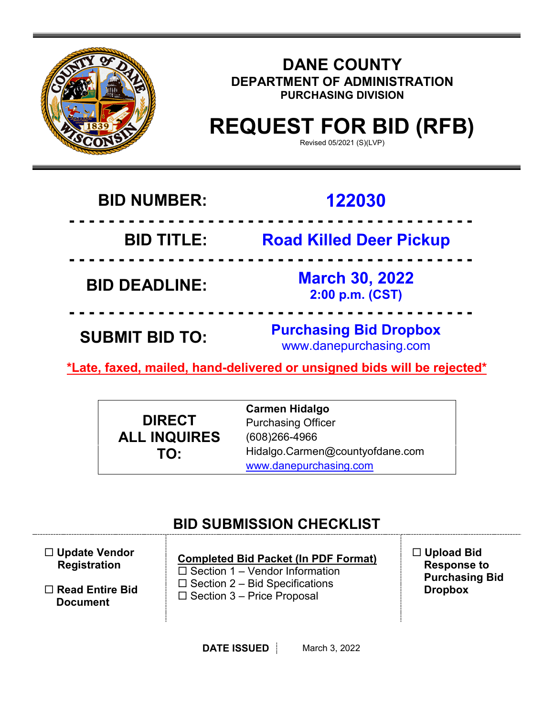

## **DANE COUNTY DEPARTMENT OF ADMINISTRATION PURCHASING DIVISION**

# **REQUEST FOR BID (RFB)**

Revised 05/2021 (S)(LVP)

## **BID NUMBER: 122030**

 **- - - - - - - - - - - - - - - - - - - - - - - - - - - - - - - - - - - - - - - - - BID TITLE: Road Killed Deer Pickup - - - - - - - - - - - - - - - - - - - - - - - - - - - - - - - - - - - - - - - - - BID DEADLINE: March 30, 2022 2:00 p.m. (CST) - - - - - - - - - - - - - - - - - - - - - - - - - - - - - - - - - - - - - - - - - SUBMIT BID TO: Purchasing Bid Dropbox** www.danepurchasing.com

**\*Late, faxed, mailed, hand-delivered or unsigned bids will be rejected\*** 

**DIRECT ALL INQUIRES TO:**

**Carmen Hidalgo** Purchasing Officer (608)266-4966 Hidalgo.Carmen@countyofdane.com [www.danepurchasing.com](http://www.danepurchasing.com/)

## **BID SUBMISSION CHECKLIST**

| $\Box$ Update Vendor   | <b>Completed Bid Packet (In PDF Format)</b> | $\Box$ Upload Bid     |
|------------------------|---------------------------------------------|-----------------------|
| <b>Registration</b>    | $\Box$ Section 1 – Vendor Information       | <b>Response to</b>    |
| $\Box$ Read Entire Bid | $\Box$ Section 2 – Bid Specifications       | <b>Purchasing Bid</b> |
| <b>Document</b>        | $\Box$ Section 3 – Price Proposal           | <b>Dropbox</b>        |
|                        |                                             |                       |

**DATE ISSUED** March 3, 2022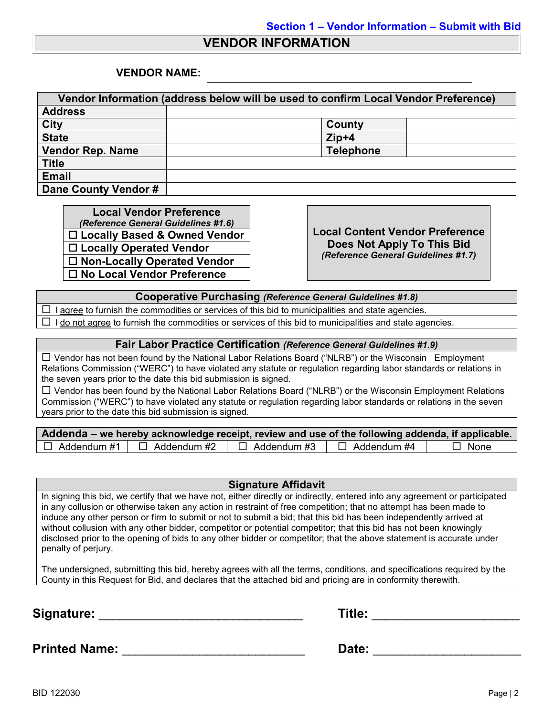## **VENDOR INFORMATION**

#### **VENDOR NAME:**

| Vendor Information (address below will be used to confirm Local Vendor Preference) |                  |  |  |  |  |
|------------------------------------------------------------------------------------|------------------|--|--|--|--|
| <b>Address</b>                                                                     |                  |  |  |  |  |
| <b>City</b>                                                                        | County           |  |  |  |  |
| <b>State</b>                                                                       | $Zip+4$          |  |  |  |  |
| <b>Vendor Rep. Name</b>                                                            | <b>Telephone</b> |  |  |  |  |
| <b>Title</b>                                                                       |                  |  |  |  |  |
| <b>Email</b>                                                                       |                  |  |  |  |  |
| Dane County Vendor #                                                               |                  |  |  |  |  |

**Local Vendor Preference**<br>(*Reference General Guidelines #1.6*) *(Reference General Guidelines #1.6)* **Local Content Vendor Preference Locally Based & Owned Vendor Locally Operated Vendor Non-Locally Operated Vendor No Local Vendor Preference**

**Does Not Apply To This Bid** *(Reference General Guidelines #1.7)*

**Cooperative Purchasing** *(Reference General Guidelines #1.8)*

 $\Box$  I agree to furnish the commodities or services of this bid to municipalities and state agencies.  $\Box$  I do not agree to furnish the commodities or services of this bid to municipalities and state agencies.

#### **Fair Labor Practice Certification** *(Reference General Guidelines #1.9)*

 Vendor has not been found by the National Labor Relations Board ("NLRB") or the Wisconsin Employment Relations Commission ("WERC") to have violated any statute or regulation regarding labor standards or relations in the seven years prior to the date this bid submission is signed.

 $\Box$  Vendor has been found by the National Labor Relations Board ("NLRB") or the Wisconsin Employment Relations Commission ("WERC") to have violated any statute or regulation regarding labor standards or relations in the seven years prior to the date this bid submission is signed.

| Addenda – we hereby acknowledge receipt, review and use of the following addenda, if applicable. |                    |                    |             |
|--------------------------------------------------------------------------------------------------|--------------------|--------------------|-------------|
| $\Box$ Addendum #1 $\Box$ Addendum #2                                                            | $\Box$ Addendum #3 | $\Box$ Addendum #4 | $\Box$ None |

#### **Signature Affidavit**

In signing this bid, we certify that we have not, either directly or indirectly, entered into any agreement or participated in any collusion or otherwise taken any action in restraint of free competition; that no attempt has been made to induce any other person or firm to submit or not to submit a bid; that this bid has been independently arrived at without collusion with any other bidder, competitor or potential competitor; that this bid has not been knowingly disclosed prior to the opening of bids to any other bidder or competitor; that the above statement is accurate under penalty of perjury.

The undersigned, submitting this bid, hereby agrees with all the terms, conditions, and specifications required by the County in this Request for Bid, and declares that the attached bid and pricing are in conformity therewith.

**Signature:** \_\_\_\_\_\_\_\_\_\_\_\_\_\_\_\_\_\_\_\_\_\_\_\_\_\_\_\_\_ **Title:** \_\_\_\_\_\_\_\_\_\_\_\_\_\_\_\_\_\_\_\_\_

**Printed Name:** \_\_\_\_\_\_\_\_\_\_\_\_\_\_\_\_\_\_\_\_\_\_\_\_\_\_ **Date:** \_\_\_\_\_\_\_\_\_\_\_\_\_\_\_\_\_\_\_\_\_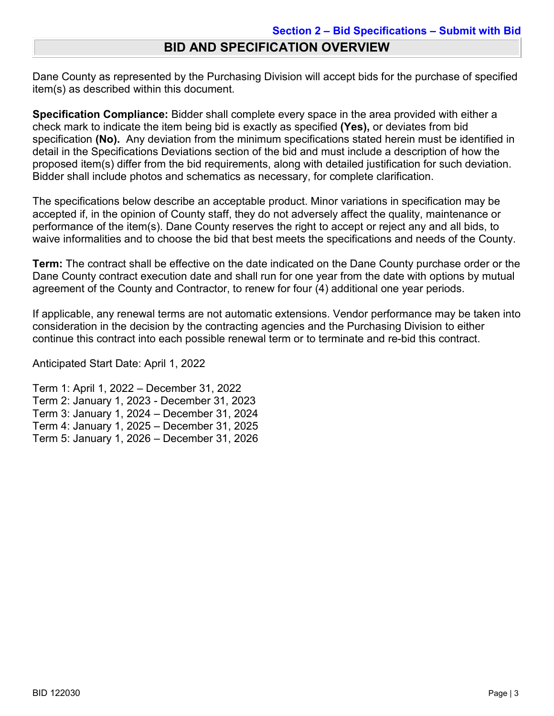## **BID AND SPECIFICATION OVERVIEW**

Dane County as represented by the Purchasing Division will accept bids for the purchase of specified item(s) as described within this document.

**Specification Compliance:** Bidder shall complete every space in the area provided with either a check mark to indicate the item being bid is exactly as specified **(Yes),** or deviates from bid specification **(No).** Any deviation from the minimum specifications stated herein must be identified in detail in the Specifications Deviations section of the bid and must include a description of how the proposed item(s) differ from the bid requirements, along with detailed justification for such deviation. Bidder shall include photos and schematics as necessary, for complete clarification.

The specifications below describe an acceptable product. Minor variations in specification may be accepted if, in the opinion of County staff, they do not adversely affect the quality, maintenance or performance of the item(s). Dane County reserves the right to accept or reject any and all bids, to waive informalities and to choose the bid that best meets the specifications and needs of the County.

**Term:** The contract shall be effective on the date indicated on the Dane County purchase order or the Dane County contract execution date and shall run for one year from the date with options by mutual agreement of the County and Contractor, to renew for four (4) additional one year periods.

If applicable, any renewal terms are not automatic extensions. Vendor performance may be taken into consideration in the decision by the contracting agencies and the Purchasing Division to either continue this contract into each possible renewal term or to terminate and re-bid this contract.

Anticipated Start Date: April 1, 2022

Term 1: April 1, 2022 – December 31, 2022 Term 2: January 1, 2023 - December 31, 2023 Term 3: January 1, 2024 – December 31, 2024 Term 4: January 1, 2025 – December 31, 2025 Term 5: January 1, 2026 – December 31, 2026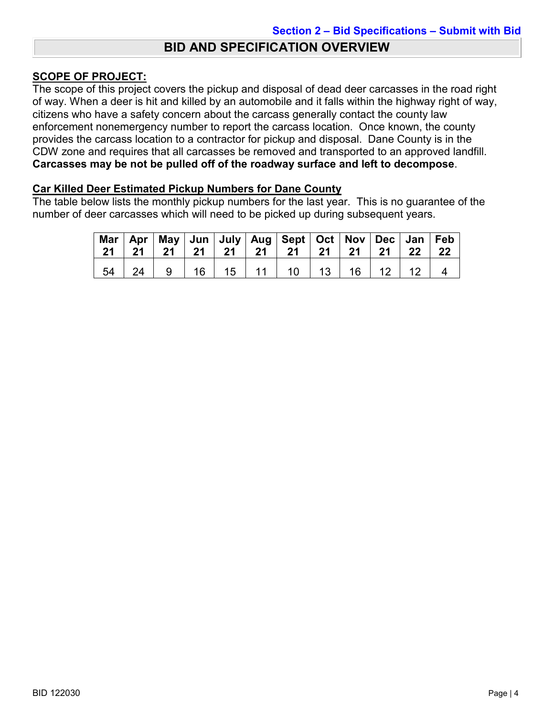## **BID AND SPECIFICATION OVERVIEW**

## **SCOPE OF PROJECT:**

The scope of this project covers the pickup and disposal of dead deer carcasses in the road right of way. When a deer is hit and killed by an automobile and it falls within the highway right of way, citizens who have a safety concern about the carcass generally contact the county law enforcement nonemergency number to report the carcass location. Once known, the county provides the carcass location to a contractor for pickup and disposal. Dane County is in the CDW zone and requires that all carcasses be removed and transported to an approved landfill. **Carcasses may be not be pulled off of the roadway surface and left to decompose**.

#### **Car Killed Deer Estimated Pickup Numbers for Dane County**

The table below lists the monthly pickup numbers for the last year. This is no guarantee of the number of deer carcasses which will need to be picked up during subsequent years.

| $21 \mid 21$ |   |                    |  | Mar   Apr   May   Jun   July   Aug   Sept   Oct   Nov   Dec   Jan   Feb<br>    21   21   21   21   21   21 |  | 21   22            | - 22 |
|--------------|---|--------------------|--|------------------------------------------------------------------------------------------------------------|--|--------------------|------|
| 24           | 9 | $\vert$ 16 $\vert$ |  | 15   11   10   13                                                                                          |  | $16$   $12$   $12$ |      |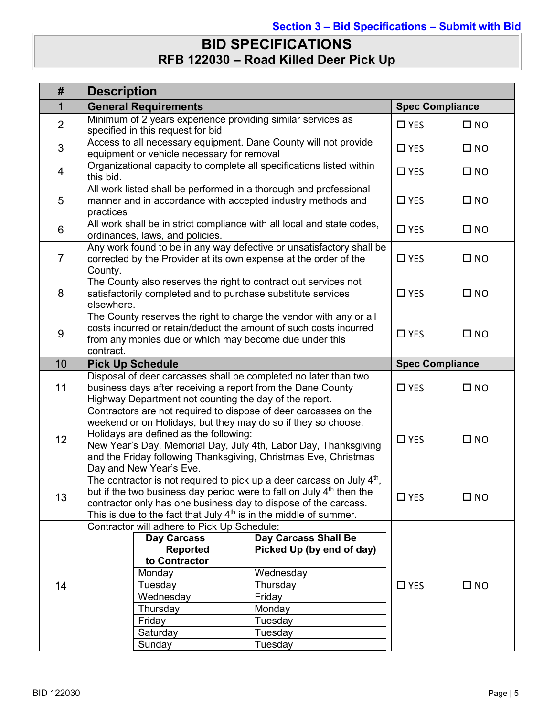## **BID SPECIFICATIONS RFB 122030 – Road Killed Deer Pick Up**

| #               | <b>Description</b>                                                                                                                                                                                                                                                                                                                           |                                                                                                                                        |               |              |  |
|-----------------|----------------------------------------------------------------------------------------------------------------------------------------------------------------------------------------------------------------------------------------------------------------------------------------------------------------------------------------------|----------------------------------------------------------------------------------------------------------------------------------------|---------------|--------------|--|
| 1               | <b>General Requirements</b>                                                                                                                                                                                                                                                                                                                  | <b>Spec Compliance</b>                                                                                                                 |               |              |  |
| $\overline{2}$  | Minimum of 2 years experience providing similar services as<br>specified in this request for bid                                                                                                                                                                                                                                             |                                                                                                                                        | $\square$ YES | $\square$ NO |  |
| 3               | Access to all necessary equipment. Dane County will not provide<br>equipment or vehicle necessary for removal                                                                                                                                                                                                                                | $\Box$ YES                                                                                                                             | $\square$ NO  |              |  |
| 4               | Organizational capacity to complete all specifications listed within<br>this bid.                                                                                                                                                                                                                                                            |                                                                                                                                        | $\square$ YES | $\square$ NO |  |
| 5               | All work listed shall be performed in a thorough and professional<br>manner and in accordance with accepted industry methods and<br>practices                                                                                                                                                                                                |                                                                                                                                        | $\square$ YES | $\square$ NO |  |
| $6\phantom{1}$  | All work shall be in strict compliance with all local and state codes,<br>ordinances, laws, and policies.                                                                                                                                                                                                                                    |                                                                                                                                        | $\square$ YES | $\square$ NO |  |
| $\overline{7}$  | Any work found to be in any way defective or unsatisfactory shall be<br>corrected by the Provider at its own expense at the order of the<br>County.                                                                                                                                                                                          |                                                                                                                                        | $\square$ YES | $\square$ NO |  |
| 8               | The County also reserves the right to contract out services not<br>satisfactorily completed and to purchase substitute services<br>elsewhere.                                                                                                                                                                                                | $\square$ YES                                                                                                                          | $\square$ NO  |              |  |
| 9               | The County reserves the right to charge the vendor with any or all<br>costs incurred or retain/deduct the amount of such costs incurred<br>from any monies due or which may become due under this<br>contract.                                                                                                                               | $\square$ YES                                                                                                                          | $\square$ NO  |              |  |
| 10              | <b>Pick Up Schedule</b>                                                                                                                                                                                                                                                                                                                      | <b>Spec Compliance</b>                                                                                                                 |               |              |  |
| 11              | Disposal of deer carcasses shall be completed no later than two<br>business days after receiving a report from the Dane County<br>Highway Department not counting the day of the report.                                                                                                                                                     | $\square$ YES                                                                                                                          | $\square$ NO  |              |  |
| 12 <sup>2</sup> | Contractors are not required to dispose of deer carcasses on the<br>weekend or on Holidays, but they may do so if they so choose.<br>Holidays are defined as the following:<br>New Year's Day, Memorial Day, July 4th, Labor Day, Thanksgiving<br>and the Friday following Thanksgiving, Christmas Eve, Christmas<br>Day and New Year's Eve. | $\square$ YES                                                                                                                          | $\square$ NO  |              |  |
| 13              | The contractor is not required to pick up a deer carcass on July $4th$ ,<br>but if the two business day period were to fall on July $4th$ then the<br>contractor only has one business day to dispose of the carcass.<br>This is due to the fact that July 4 <sup>th</sup> is in the middle of summer.                                       | $\square$ YES                                                                                                                          | $\square$ NO  |              |  |
| 14              | Contractor will adhere to Pick Up Schedule:<br><b>Day Carcass</b><br><b>Reported</b><br>to Contractor<br>Monday<br>Tuesday<br>Wednesday<br>Thursday<br>Friday<br>Saturday<br>Sunday                                                                                                                                                          | <b>Day Carcass Shall Be</b><br>Picked Up (by end of day)<br>Wednesday<br>Thursday<br>Friday<br>Monday<br>Tuesday<br>Tuesday<br>Tuesday | $\square$ YES | $\square$ NO |  |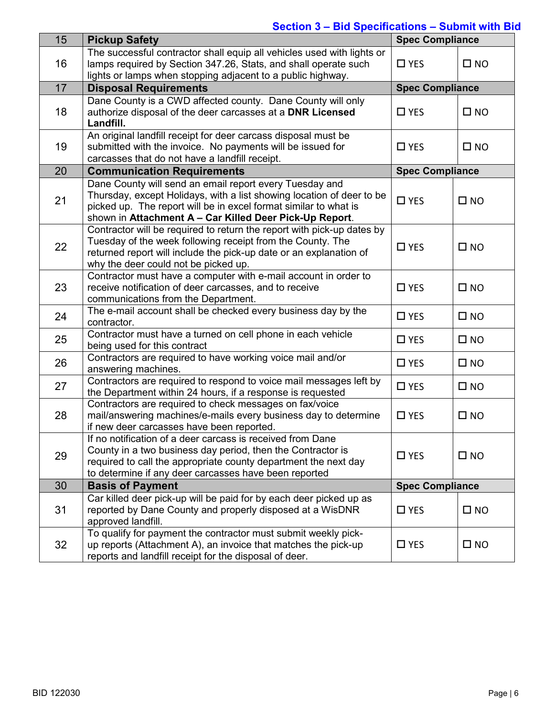## **Section 3 – Bid Specifications – Submit with Bid**

| 15 | <b>Pickup Safety</b>                                                                                                                                                                                                                                            | <b>Spec Compliance</b> |              |
|----|-----------------------------------------------------------------------------------------------------------------------------------------------------------------------------------------------------------------------------------------------------------------|------------------------|--------------|
| 16 | The successful contractor shall equip all vehicles used with lights or<br>lamps required by Section 347.26, Stats, and shall operate such<br>lights or lamps when stopping adjacent to a public highway.                                                        | $\square$ YES          | $\square$ NO |
| 17 | <b>Disposal Requirements</b>                                                                                                                                                                                                                                    | <b>Spec Compliance</b> |              |
| 18 | Dane County is a CWD affected county. Dane County will only<br>authorize disposal of the deer carcasses at a DNR Licensed<br>Landfill.                                                                                                                          | $\Box$ YES             | $\square$ NO |
| 19 | An original landfill receipt for deer carcass disposal must be<br>submitted with the invoice. No payments will be issued for<br>carcasses that do not have a landfill receipt.                                                                                  | $\square$ YES          | $\square$ NO |
| 20 | <b>Communication Requirements</b>                                                                                                                                                                                                                               | <b>Spec Compliance</b> |              |
| 21 | Dane County will send an email report every Tuesday and<br>Thursday, except Holidays, with a list showing location of deer to be<br>picked up. The report will be in excel format similar to what is<br>shown in Attachment A - Car Killed Deer Pick-Up Report. | $\square$ YES          | $\square$ NO |
| 22 | Contractor will be required to return the report with pick-up dates by<br>Tuesday of the week following receipt from the County. The<br>returned report will include the pick-up date or an explanation of<br>why the deer could not be picked up.              | $\square$ YES          | $\square$ NO |
| 23 | Contractor must have a computer with e-mail account in order to<br>receive notification of deer carcasses, and to receive<br>communications from the Department.                                                                                                | $\square$ YES          | $\square$ NO |
| 24 | The e-mail account shall be checked every business day by the<br>contractor.                                                                                                                                                                                    | $\square$ YES          | $\square$ NO |
| 25 | Contractor must have a turned on cell phone in each vehicle<br>being used for this contract                                                                                                                                                                     | $\square$ YES          | $\square$ NO |
| 26 | Contractors are required to have working voice mail and/or<br>answering machines.                                                                                                                                                                               | $\square$ YES          | $\square$ NO |
| 27 | Contractors are required to respond to voice mail messages left by<br>the Department within 24 hours, if a response is requested                                                                                                                                | $\square$ YES          | $\square$ NO |
| 28 | Contractors are required to check messages on fax/voice<br>mail/answering machines/e-mails every business day to determine<br>if new deer carcasses have been reported.                                                                                         | $\square$ YES          | $\square$ NO |
| 29 | If no notification of a deer carcass is received from Dane<br>County in a two business day period, then the Contractor is<br>required to call the appropriate county department the next day<br>to determine if any deer carcasses have been reported           | $\square$ YES          | $\square$ NO |
| 30 | <b>Basis of Payment</b>                                                                                                                                                                                                                                         | <b>Spec Compliance</b> |              |
| 31 | Car killed deer pick-up will be paid for by each deer picked up as<br>reported by Dane County and properly disposed at a WisDNR<br>approved landfill.                                                                                                           | $\square$ YES          | $\square$ NO |
| 32 | To qualify for payment the contractor must submit weekly pick-<br>up reports (Attachment A), an invoice that matches the pick-up<br>reports and landfill receipt for the disposal of deer.                                                                      | $\square$ YES          | $\square$ NO |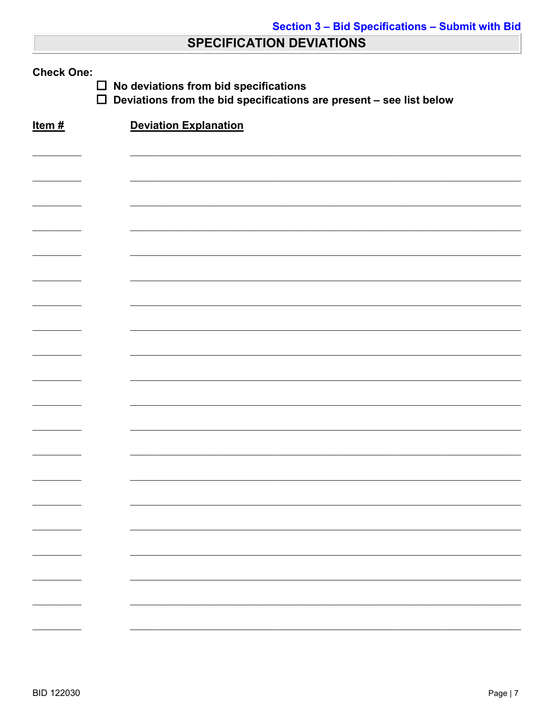## **SPECIFICATION DEVIATIONS**

| <b>Check One:</b><br>No deviations from bid specifications<br>$\Box$<br>$\Box$<br>Deviations from the bid specifications are present - see list below |                              |  |  |  |
|-------------------------------------------------------------------------------------------------------------------------------------------------------|------------------------------|--|--|--|
| Item#                                                                                                                                                 | <b>Deviation Explanation</b> |  |  |  |
|                                                                                                                                                       |                              |  |  |  |
|                                                                                                                                                       |                              |  |  |  |
|                                                                                                                                                       |                              |  |  |  |
|                                                                                                                                                       |                              |  |  |  |
|                                                                                                                                                       |                              |  |  |  |
|                                                                                                                                                       |                              |  |  |  |
|                                                                                                                                                       |                              |  |  |  |
|                                                                                                                                                       |                              |  |  |  |
|                                                                                                                                                       |                              |  |  |  |
|                                                                                                                                                       |                              |  |  |  |
|                                                                                                                                                       |                              |  |  |  |
|                                                                                                                                                       |                              |  |  |  |
|                                                                                                                                                       |                              |  |  |  |
|                                                                                                                                                       |                              |  |  |  |
|                                                                                                                                                       |                              |  |  |  |
|                                                                                                                                                       |                              |  |  |  |